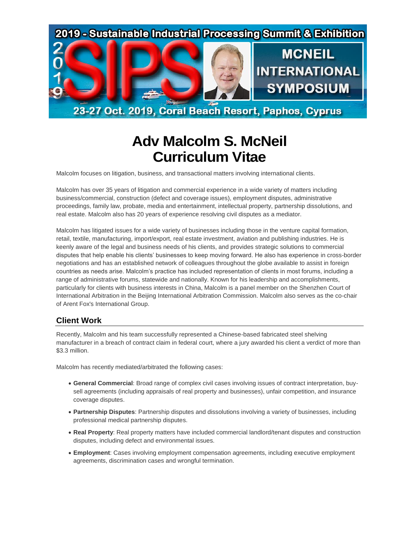

23-27 Oct. 2019, Coral Beach Resort, Paphos, Cyprus

# **Adv Malcolm S. McNeil Curriculum Vitae**

Malcolm focuses on litigation, business, and transactional matters involving international clients.

Malcolm has over 35 years of litigation and commercial experience in a wide variety of matters including business/commercial, construction (defect and coverage issues), employment disputes, administrative proceedings, family law, probate, media and entertainment, intellectual property, partnership dissolutions, and real estate. Malcolm also has 20 years of experience resolving civil disputes as a mediator.

Malcolm has litigated issues for a wide variety of businesses including those in the venture capital formation, retail, textile, manufacturing, import/export, real estate investment, aviation and publishing industries. He is keenly aware of the legal and business needs of his clients, and provides strategic solutions to commercial disputes that help enable his clients' businesses to keep moving forward. He also has experience in cross-border negotiations and has an established network of colleagues throughout the globe available to assist in foreign countries as needs arise. Malcolm's practice has included representation of clients in most forums, including a range of administrative forums, statewide and nationally. Known for his leadership and accomplishments, particularly for clients with business interests in China, Malcolm is a panel member on the Shenzhen Court of International Arbitration in the Beijing International Arbitration Commission. Malcolm also serves as the co-chair of Arent Fox's International Group.

## **Client Work**

Recently, Malcolm and his team successfully represented a Chinese-based fabricated steel shelving manufacturer in a breach of contract claim in federal court, where a jury awarded his client a verdict of more than \$3.3 million.

Malcolm has recently mediated/arbitrated the following cases:

- **General Commercial**: Broad range of complex civil cases involving issues of contract interpretation, buysell agreements (including appraisals of real property and businesses), unfair competition, and insurance coverage disputes.
- **Partnership Disputes**: Partnership disputes and dissolutions involving a variety of businesses, including professional medical partnership disputes.
- **Real Property**: Real property matters have included commercial landlord/tenant disputes and construction disputes, including defect and environmental issues.
- **Employment**: Cases involving employment compensation agreements, including executive employment agreements, discrimination cases and wrongful termination.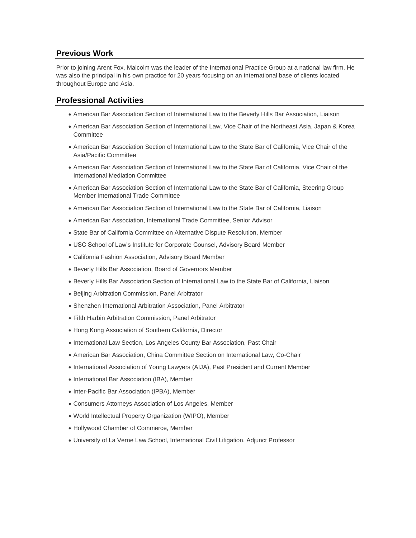#### **Previous Work**

Prior to joining Arent Fox, Malcolm was the leader of the International Practice Group at a national law firm. He was also the principal in his own practice for 20 years focusing on an international base of clients located throughout Europe and Asia.

#### **Professional Activities**

- American Bar Association Section of International Law to the Beverly Hills Bar Association, Liaison
- American Bar Association Section of International Law, Vice Chair of the Northeast Asia, Japan & Korea **Committee**
- American Bar Association Section of International Law to the State Bar of California, Vice Chair of the Asia/Pacific Committee
- American Bar Association Section of International Law to the State Bar of California, Vice Chair of the International Mediation Committee
- American Bar Association Section of International Law to the State Bar of California, Steering Group Member International Trade Committee
- American Bar Association Section of International Law to the State Bar of California, Liaison
- American Bar Association, International Trade Committee, Senior Advisor
- State Bar of California Committee on Alternative Dispute Resolution, Member
- USC School of Law's Institute for Corporate Counsel, Advisory Board Member
- California Fashion Association, Advisory Board Member
- Beverly Hills Bar Association, Board of Governors Member
- Beverly Hills Bar Association Section of International Law to the State Bar of California, Liaison
- Beijing Arbitration Commission, Panel Arbitrator
- Shenzhen International Arbitration Association, Panel Arbitrator
- Fifth Harbin Arbitration Commission, Panel Arbitrator
- Hong Kong Association of Southern California, Director
- International Law Section, Los Angeles County Bar Association, Past Chair
- American Bar Association, China Committee Section on International Law, Co-Chair
- International Association of Young Lawyers (AIJA), Past President and Current Member
- International Bar Association (IBA), Member
- Inter-Pacific Bar Association (IPBA), Member
- Consumers Attorneys Association of Los Angeles, Member
- World Intellectual Property Organization (WIPO), Member
- Hollywood Chamber of Commerce, Member
- University of La Verne Law School, International Civil Litigation, Adjunct Professor